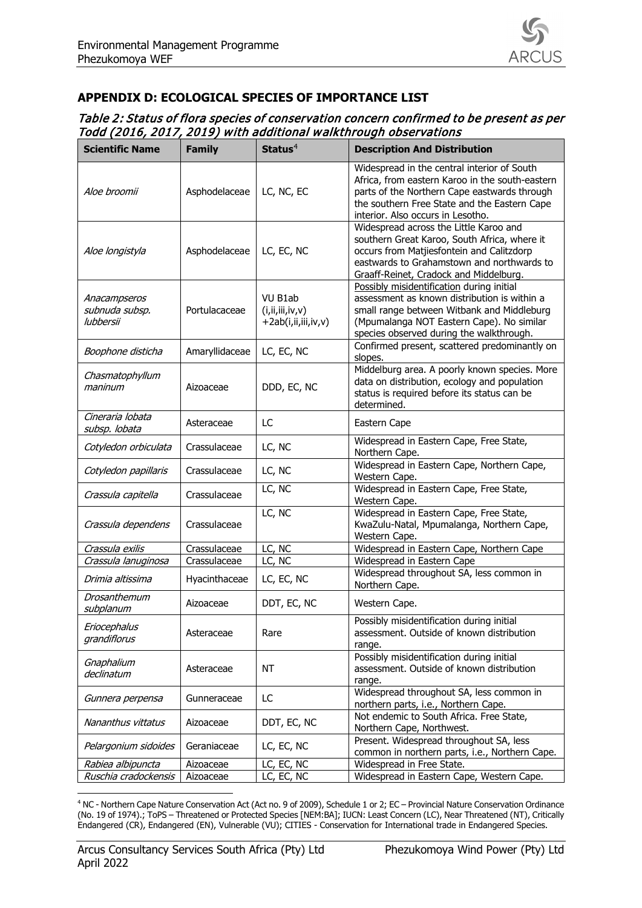

## **APPENDIX D: ECOLOGICAL SPECIES OF IMPORTANCE LIST**

| Table 2: Status of flora species of conservation concern confirmed to be present as per |  |
|-----------------------------------------------------------------------------------------|--|
| Todd (2016, 2017, 2019) with additional walkthrough observations                        |  |

| <b>Scientific Name</b>                      | <b>Family</b>  | Status $4$                                            | <b>Description And Distribution</b>                                                                                                                                                                                                 |
|---------------------------------------------|----------------|-------------------------------------------------------|-------------------------------------------------------------------------------------------------------------------------------------------------------------------------------------------------------------------------------------|
| Aloe broomii                                | Asphodelaceae  | LC, NC, EC                                            | Widespread in the central interior of South<br>Africa, from eastern Karoo in the south-eastern<br>parts of the Northern Cape eastwards through<br>the southern Free State and the Eastern Cape<br>interior. Also occurs in Lesotho. |
| Aloe longistyla                             | Asphodelaceae  | LC, EC, NC                                            | Widespread across the Little Karoo and<br>southern Great Karoo, South Africa, where it<br>occurs from Matjiesfontein and Calitzdorp<br>eastwards to Grahamstown and northwards to<br>Graaff-Reinet, Cradock and Middelburg.         |
| Anacampseros<br>subnuda subsp.<br>lubbersii | Portulacaceae  | VU B1ab<br>(i, ii, iii, iv, v)<br>+2ab(i,ii,iii,iv,v) | Possibly misidentification during initial<br>assessment as known distribution is within a<br>small range between Witbank and Middleburg<br>(Mpumalanga NOT Eastern Cape). No similar<br>species observed during the walkthrough.    |
| Boophone disticha                           | Amaryllidaceae | LC, EC, NC                                            | Confirmed present, scattered predominantly on<br>slopes.                                                                                                                                                                            |
| Chasmatophyllum<br>maninum                  | Aizoaceae      | DDD, EC, NC                                           | Middelburg area. A poorly known species. More<br>data on distribution, ecology and population<br>status is required before its status can be<br>determined.                                                                         |
| Cineraria lobata<br>subsp. lobata           | Asteraceae     | LC                                                    | Eastern Cape                                                                                                                                                                                                                        |
| Cotyledon orbiculata                        | Crassulaceae   | LC, NC                                                | Widespread in Eastern Cape, Free State,<br>Northern Cape.                                                                                                                                                                           |
| Cotyledon papillaris                        | Crassulaceae   | LC, NC                                                | Widespread in Eastern Cape, Northern Cape,<br>Western Cape.                                                                                                                                                                         |
| Crassula capitella                          | Crassulaceae   | LC, NC                                                | Widespread in Eastern Cape, Free State,<br>Western Cape.                                                                                                                                                                            |
| Crassula dependens                          | Crassulaceae   | LC, NC                                                | Widespread in Eastern Cape, Free State,<br>KwaZulu-Natal, Mpumalanga, Northern Cape,<br>Western Cape.                                                                                                                               |
| Crassula exilis                             | Crassulaceae   | LC, NC                                                | Widespread in Eastern Cape, Northern Cape                                                                                                                                                                                           |
| Crassula lanuginosa                         | Crassulaceae   | LC, NC                                                | Widespread in Eastern Cape                                                                                                                                                                                                          |
| Drimia altissima                            | Hyacinthaceae  | LC, EC, NC                                            | Widespread throughout SA, less common in<br>Northern Cape.                                                                                                                                                                          |
| Drosanthemum<br>subplanum                   | Aizoaceae      | DDT, EC, NC                                           | Western Cape.                                                                                                                                                                                                                       |
| Eriocephalus<br>grandiflorus                | Asteraceae     | Rare                                                  | Possibly misidentification during initial<br>assessment. Outside of known distribution<br>range.                                                                                                                                    |
| Gnaphalium<br>declinatum                    | Asteraceae     | <b>NT</b>                                             | Possibly misidentification during initial<br>assessment. Outside of known distribution<br>range.                                                                                                                                    |
| Gunnera perpensa                            | Gunneraceae    | LC                                                    | Widespread throughout SA, less common in<br>northern parts, i.e., Northern Cape.                                                                                                                                                    |
| Nananthus vittatus                          | Aizoaceae      | DDT, EC, NC                                           | Not endemic to South Africa. Free State,<br>Northern Cape, Northwest.                                                                                                                                                               |
| Pelargonium sidoides                        | Geraniaceae    | LC, EC, NC                                            | Present. Widespread throughout SA, less<br>common in northern parts, i.e., Northern Cape.                                                                                                                                           |
| Rabiea albipuncta                           | Aizoaceae      | LC, EC, NC                                            | Widespread in Free State.                                                                                                                                                                                                           |
| Ruschia cradockensis                        | Aizoaceae      | LC, EC, NC                                            | Widespread in Eastern Cape, Western Cape.                                                                                                                                                                                           |

<span id="page-0-0"></span>-<sup>4</sup> NC - Northern Cape Nature Conservation Act (Act no. 9 of 2009), Schedule 1 or 2; EC – Provincial Nature Conservation Ordinance (No. 19 of 1974).; ToPS – Threatened or Protected Species [NEM:BA]; IUCN: Least Concern (LC), Near Threatened (NT), Critically Endangered (CR), Endangered (EN), Vulnerable (VU); CITIES - Conservation for International trade in Endangered Species.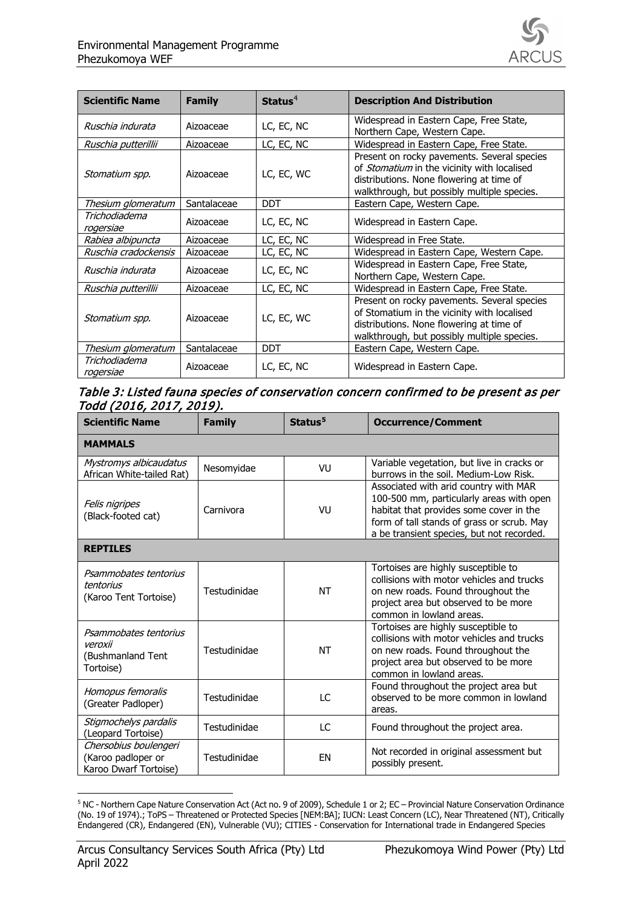

| <b>Scientific Name</b>     | <b>Family</b> | Status $4$ | <b>Description And Distribution</b>                                                                                                                                                   |
|----------------------------|---------------|------------|---------------------------------------------------------------------------------------------------------------------------------------------------------------------------------------|
| Ruschia indurata           | Aizoaceae     | LC, EC, NC | Widespread in Eastern Cape, Free State,<br>Northern Cape, Western Cape.                                                                                                               |
| Ruschia putterillii        | Aizoaceae     | LC, EC, NC | Widespread in Eastern Cape, Free State.                                                                                                                                               |
| Stomatium spp.             | Aizoaceae     | LC, EC, WC | Present on rocky pavements. Several species<br>of Stomatium in the vicinity with localised<br>distributions. None flowering at time of<br>walkthrough, but possibly multiple species. |
| Thesium glomeratum         | Santalaceae   | <b>DDT</b> | Eastern Cape, Western Cape.                                                                                                                                                           |
| Trichodiadema<br>rogersiae | Aizoaceae     | LC, EC, NC | Widespread in Eastern Cape.                                                                                                                                                           |
| Rabiea albipuncta          | Aizoaceae     | LC, EC, NC | Widespread in Free State.                                                                                                                                                             |
| Ruschia cradockensis       | Aizoaceae     | LC, EC, NC | Widespread in Eastern Cape, Western Cape.                                                                                                                                             |
| Ruschia indurata           | Aizoaceae     | LC, EC, NC | Widespread in Eastern Cape, Free State,<br>Northern Cape, Western Cape.                                                                                                               |
| Ruschia putterillii        | Aizoaceae     | LC, EC, NC | Widespread in Eastern Cape, Free State.                                                                                                                                               |
| Stomatium spp.             | Aizoaceae     | LC, EC, WC | Present on rocky pavements. Several species<br>of Stomatium in the vicinity with localised<br>distributions. None flowering at time of<br>walkthrough, but possibly multiple species. |
| Thesium glomeratum         | Santalaceae   | <b>DDT</b> | Eastern Cape, Western Cape.                                                                                                                                                           |
| Trichodiadema<br>rogersiae | Aizoaceae     | LC, EC, NC | Widespread in Eastern Cape.                                                                                                                                                           |

## Table 3: Listed fauna species of conservation concern confirmed to be present as per Todd (2016, 2017, 2019).

| <b>Scientific Name</b>                                               | <b>Family</b> | Status <sup>5</sup> | <b>Occurrence/Comment</b>                                                                                                                                                                                               |  |
|----------------------------------------------------------------------|---------------|---------------------|-------------------------------------------------------------------------------------------------------------------------------------------------------------------------------------------------------------------------|--|
| <b>MAMMALS</b>                                                       |               |                     |                                                                                                                                                                                                                         |  |
| Mystromys albicaudatus<br>African White-tailed Rat)                  | Nesomyidae    | VU                  | Variable vegetation, but live in cracks or<br>burrows in the soil. Medium-Low Risk.                                                                                                                                     |  |
| Felis nigripes<br>(Black-footed cat)                                 | Carnivora     | VU                  | Associated with arid country with MAR<br>100-500 mm, particularly areas with open<br>habitat that provides some cover in the<br>form of tall stands of grass or scrub. May<br>a be transient species, but not recorded. |  |
| <b>REPTILES</b>                                                      |               |                     |                                                                                                                                                                                                                         |  |
| Psammobates tentorius<br>tentorius<br>(Karoo Tent Tortoise)          | Testudinidae  | NT                  | Tortoises are highly susceptible to<br>collisions with motor vehicles and trucks<br>on new roads. Found throughout the<br>project area but observed to be more<br>common in lowland areas.                              |  |
| Psammobates tentorius<br>veroxii<br>(Bushmanland Tent<br>Tortoise)   | Testudinidae  | NT                  | Tortoises are highly susceptible to<br>collisions with motor vehicles and trucks<br>on new roads. Found throughout the<br>project area but observed to be more<br>common in lowland areas.                              |  |
| Homopus femoralis<br>(Greater Padloper)                              | Testudinidae  | LC                  | Found throughout the project area but<br>observed to be more common in lowland<br>areas.                                                                                                                                |  |
| Stigmochelys pardalis<br>(Leopard Tortoise)                          | Testudinidae  | LC                  | Found throughout the project area.                                                                                                                                                                                      |  |
| Chersobius boulengeri<br>(Karoo padloper or<br>Karoo Dwarf Tortoise) | Testudinidae  | <b>FN</b>           | Not recorded in original assessment but<br>possibly present.                                                                                                                                                            |  |

<span id="page-1-0"></span><sup>-</sup><sup>5</sup> NC - Northern Cape Nature Conservation Act (Act no. 9 of 2009), Schedule 1 or 2; EC – Provincial Nature Conservation Ordinance (No. 19 of 1974).; ToPS – Threatened or Protected Species [NEM:BA]; IUCN: Least Concern (LC), Near Threatened (NT), Critically Endangered (CR), Endangered (EN), Vulnerable (VU); CITIES - Conservation for International trade in Endangered Species